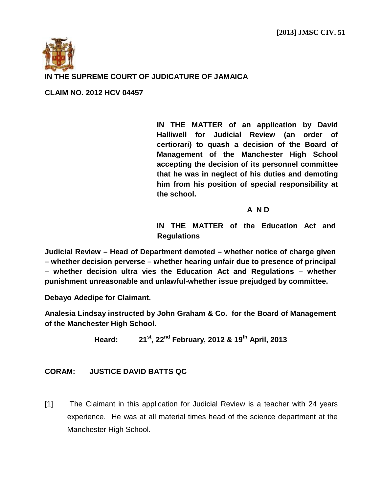

## **IN THE SUPREME COURT OF JUDICATURE OF JAMAICA**

**CLAIM NO. 2012 HCV 04457**

**IN THE MATTER of an application by David Halliwell for Judicial Review (an order of certiorari) to quash a decision of the Board of Management of the Manchester High School accepting the decision of its personnel committee that he was in neglect of his duties and demoting him from his position of special responsibility at the school.**

## **A N D**

**IN THE MATTER of the Education Act and Regulations**

**Judicial Review – Head of Department demoted – whether notice of charge given – whether decision perverse – whether hearing unfair due to presence of principal – whether decision ultra vies the Education Act and Regulations – whether punishment unreasonable and unlawful-whether issue prejudged by committee.**

**Debayo Adedipe for Claimant.**

**Analesia Lindsay instructed by John Graham & Co. for the Board of Management of the Manchester High School.**

**Heard: 21st, 22nd February, 2012 & 19th April, 2013**

## **CORAM: JUSTICE DAVID BATTS QC**

[1] The Claimant in this application for Judicial Review is a teacher with 24 years experience. He was at all material times head of the science department at the Manchester High School.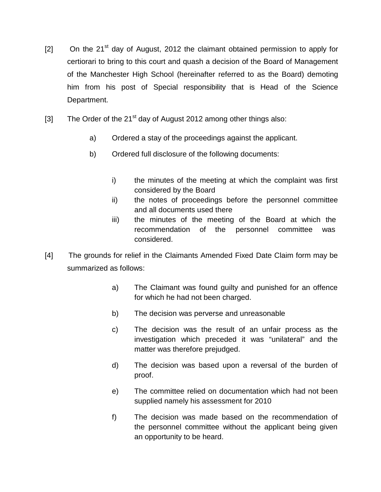- $[2]$  On the 21<sup>st</sup> day of August, 2012 the claimant obtained permission to apply for certiorari to bring to this court and quash a decision of the Board of Management of the Manchester High School (hereinafter referred to as the Board) demoting him from his post of Special responsibility that is Head of the Science Department.
- [3] The Order of the 21<sup>st</sup> day of August 2012 among other things also:
	- a) Ordered a stay of the proceedings against the applicant.
	- b) Ordered full disclosure of the following documents:
		- i) the minutes of the meeting at which the complaint was first considered by the Board
		- ii) the notes of proceedings before the personnel committee and all documents used there
		- iii) the minutes of the meeting of the Board at which the recommendation of the personnel committee was considered.
- [4] The grounds for relief in the Claimants Amended Fixed Date Claim form may be summarized as follows:
	- a) The Claimant was found guilty and punished for an offence for which he had not been charged.
	- b) The decision was perverse and unreasonable
	- c) The decision was the result of an unfair process as the investigation which preceded it was "unilateral" and the matter was therefore prejudged.
	- d) The decision was based upon a reversal of the burden of proof.
	- e) The committee relied on documentation which had not been supplied namely his assessment for 2010
	- f) The decision was made based on the recommendation of the personnel committee without the applicant being given an opportunity to be heard.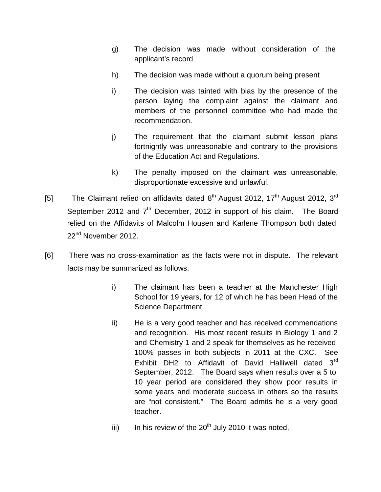- g) The decision was made without consideration of the applicant's record
- h) The decision was made without a quorum being present
- i) The decision was tainted with bias by the presence of the person laying the complaint against the claimant and members of the personnel committee who had made the recommendation.
- j) The requirement that the claimant submit lesson plans fortnightly was unreasonable and contrary to the provisions of the Education Act and Regulations.
- k) The penalty imposed on the claimant was unreasonable, disproportionate excessive and unlawful.
- [5] The Claimant relied on affidavits dated  $8<sup>th</sup>$  August 2012, 17<sup>th</sup> August 2012, 3<sup>rd</sup> September 2012 and  $7<sup>th</sup>$  December, 2012 in support of his claim. The Board relied on the Affidavits of Malcolm Housen and Karlene Thompson both dated 22<sup>nd</sup> November 2012.
- [6] There was no cross-examination as the facts were not in dispute. The relevant facts may be summarized as follows:
	- i) The claimant has been a teacher at the Manchester High School for 19 years, for 12 of which he has been Head of the Science Department.
	- ii) He is a very good teacher and has received commendations and recognition. His most recent results in Biology 1 and 2 and Chemistry 1 and 2 speak for themselves as he received 100% passes in both subjects in 2011 at the CXC. See Exhibit DH2 to Affidavit of David Halliwell dated 3<sup>rd</sup> September, 2012. The Board says when results over a 5 to 10 year period are considered they show poor results in some years and moderate success in others so the results are "not consistent." The Board admits he is a very good teacher.
	- iii) In his review of the  $20<sup>th</sup>$  July 2010 it was noted,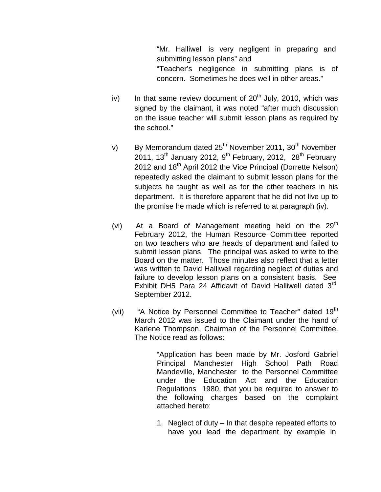"Mr. Halliwell is very negligent in preparing and submitting lesson plans" and "Teacher's negligence in submitting plans is of concern. Sometimes he does well in other areas."

- iv) In that same review document of  $20<sup>th</sup>$  July, 2010, which was signed by the claimant, it was noted "after much discussion on the issue teacher will submit lesson plans as required by the school."
- v) By Memorandum dated  $25<sup>th</sup>$  November 2011, 30<sup>th</sup> November 2011, 13<sup>th</sup> January 2012, 9<sup>th</sup> February, 2012, 28<sup>th</sup> February 2012 and  $18<sup>th</sup>$  April 2012 the Vice Principal (Dorrette Nelson) repeatedly asked the claimant to submit lesson plans for the subjects he taught as well as for the other teachers in his department. It is therefore apparent that he did not live up to the promise he made which is referred to at paragraph (iv).
- (vi) At a Board of Management meeting held on the  $29<sup>th</sup>$ February 2012, the Human Resource Committee reported on two teachers who are heads of department and failed to submit lesson plans. The principal was asked to write to the Board on the matter. Those minutes also reflect that a letter was written to David Halliwell regarding neglect of duties and failure to develop lesson plans on a consistent basis. See Exhibit DH5 Para 24 Affidavit of David Halliwell dated  $3<sup>rd</sup>$ September 2012.
- (vii) "A Notice by Personnel Committee to Teacher" dated 19<sup>th</sup> March 2012 was issued to the Claimant under the hand of Karlene Thompson, Chairman of the Personnel Committee. The Notice read as follows:

"Application has been made by Mr. Josford Gabriel Principal Manchester High School Path Road Mandeville, Manchester to the Personnel Committee under the Education Act and the Education Regulations 1980, that you be required to answer to the following charges based on the complaint attached hereto:

1. Neglect of duty – In that despite repeated efforts to have you lead the department by example in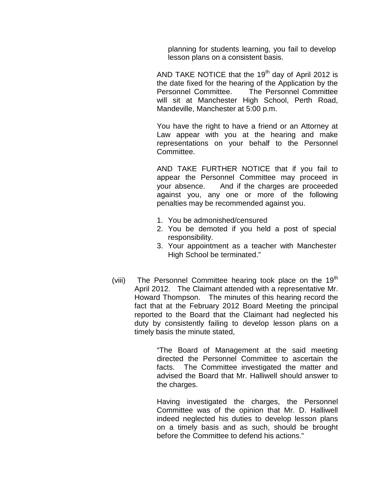planning for students learning, you fail to develop lesson plans on a consistent basis.

AND TAKE NOTICE that the  $19<sup>th</sup>$  day of April 2012 is the date fixed for the hearing of the Application by the Personnel Committee. The Personnel Committee will sit at Manchester High School, Perth Road, Mandeville, Manchester at 5:00 p.m.

You have the right to have a friend or an Attorney at Law appear with you at the hearing and make representations on your behalf to the Personnel Committee.

AND TAKE FURTHER NOTICE that if you fail to appear the Personnel Committee may proceed in your absence. And if the charges are proceeded against you, any one or more of the following penalties may be recommended against you.

- 1. You be admonished/censured
- 2. You be demoted if you held a post of special responsibility.
- 3. Your appointment as a teacher with Manchester High School be terminated."
- (viii) The Personnel Committee hearing took place on the  $19<sup>th</sup>$ April 2012. The Claimant attended with a representative Mr. Howard Thompson. The minutes of this hearing record the fact that at the February 2012 Board Meeting the principal reported to the Board that the Claimant had neglected his duty by consistently failing to develop lesson plans on a timely basis the minute stated,

"The Board of Management at the said meeting directed the Personnel Committee to ascertain the facts. The Committee investigated the matter and advised the Board that Mr. Halliwell should answer to the charges.

Having investigated the charges, the Personnel Committee was of the opinion that Mr. D. Halliwell indeed neglected his duties to develop lesson plans on a timely basis and as such, should be brought before the Committee to defend his actions."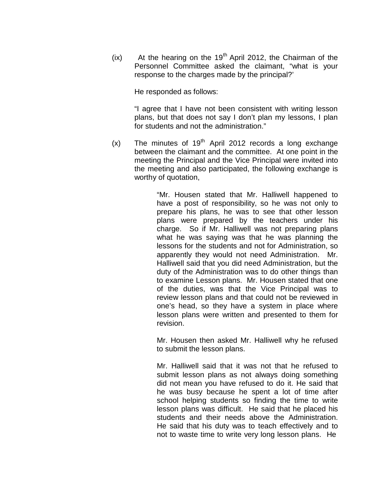$(ix)$  At the hearing on the 19<sup>th</sup> April 2012, the Chairman of the Personnel Committee asked the claimant, "what is your response to the charges made by the principal?'

He responded as follows:

"I agree that I have not been consistent with writing lesson plans, but that does not say I don't plan my lessons, I plan for students and not the administration."

 $(x)$  The minutes of 19<sup>th</sup> April 2012 records a long exchange between the claimant and the committee. At one point in the meeting the Principal and the Vice Principal were invited into the meeting and also participated, the following exchange is worthy of quotation,

> "Mr. Housen stated that Mr. Halliwell happened to have a post of responsibility, so he was not only to prepare his plans, he was to see that other lesson plans were prepared by the teachers under his charge. So if Mr. Halliwell was not preparing plans what he was saying was that he was planning the lessons for the students and not for Administration, so apparently they would not need Administration. Mr. Halliwell said that you did need Administration, but the duty of the Administration was to do other things than to examine Lesson plans. Mr. Housen stated that one of the duties, was that the Vice Principal was to review lesson plans and that could not be reviewed in one's head, so they have a system in place where lesson plans were written and presented to them for revision.

> Mr. Housen then asked Mr. Halliwell why he refused to submit the lesson plans.

> Mr. Halliwell said that it was not that he refused to submit lesson plans as not always doing something did not mean you have refused to do it. He said that he was busy because he spent a lot of time after school helping students so finding the time to write lesson plans was difficult. He said that he placed his students and their needs above the Administration. He said that his duty was to teach effectively and to not to waste time to write very long lesson plans. He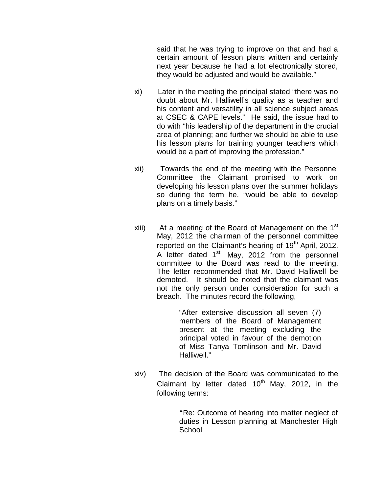said that he was trying to improve on that and had a certain amount of lesson plans written and certainly next year because he had a lot electronically stored, they would be adjusted and would be available."

- xi) Later in the meeting the principal stated "there was no doubt about Mr. Halliwell's quality as a teacher and his content and versatility in all science subject areas at CSEC & CAPE levels." He said, the issue had to do with "his leadership of the department in the crucial area of planning; and further we should be able to use his lesson plans for training younger teachers which would be a part of improving the profession."
- xii) Towards the end of the meeting with the Personnel Committee the Claimant promised to work on developing his lesson plans over the summer holidays so during the term he, "would be able to develop plans on a timely basis."
- xiii) At a meeting of the Board of Management on the  $1<sup>st</sup>$ May, 2012 the chairman of the personnel committee reported on the Claimant's hearing of  $19<sup>th</sup>$  April, 2012. A letter dated  $1<sup>st</sup>$  May, 2012 from the personnel committee to the Board was read to the meeting. The letter recommended that Mr. David Halliwell be demoted. It should be noted that the claimant was not the only person under consideration for such a breach. The minutes record the following,

"After extensive discussion all seven (7) members of the Board of Management present at the meeting excluding the principal voted in favour of the demotion of Miss Tanya Tomlinson and Mr. David Halliwell."

xiv) The decision of the Board was communicated to the Claimant by letter dated  $10^{th}$  May, 2012, in the following terms:

> **"**Re: Outcome of hearing into matter neglect of duties in Lesson planning at Manchester High **School**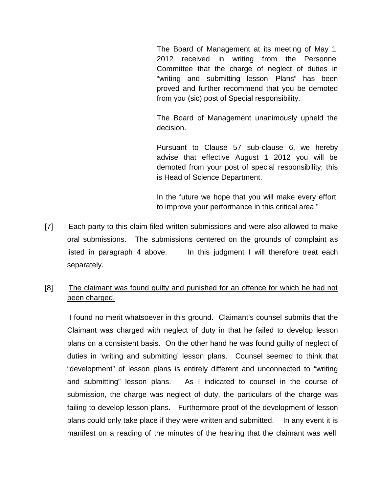The Board of Management at its meeting of May 1 2012 received in writing from the Personnel Committee that the charge of neglect of duties in "writing and submitting lesson Plans" has been proved and further recommend that you be demoted from you (sic) post of Special responsibility.

The Board of Management unanimously upheld the decision.

Pursuant to Clause 57 sub-clause 6, we hereby advise that effective August 1 2012 you will be demoted from your post of special responsibility; this is Head of Science Department.

In the future we hope that you will make every effort to improve your performance in this critical area."

[7] Each party to this claim filed written submissions and were also allowed to make oral submissions. The submissions centered on the grounds of complaint as listed in paragraph 4 above. In this judgment I will therefore treat each separately.

# [8] The claimant was found guilty and punished for an offence for which he had not been charged.

I found no merit whatsoever in this ground. Claimant's counsel submits that the Claimant was charged with neglect of duty in that he failed to develop lesson plans on a consistent basis. On the other hand he was found guilty of neglect of duties in 'writing and submitting' lesson plans. Counsel seemed to think that "development" of lesson plans is entirely different and unconnected to "writing and submitting" lesson plans. As I indicated to counsel in the course of submission, the charge was neglect of duty, the particulars of the charge was failing to develop lesson plans. Furthermore proof of the development of lesson plans could only take place if they were written and submitted. In any event it is manifest on a reading of the minutes of the hearing that the claimant was well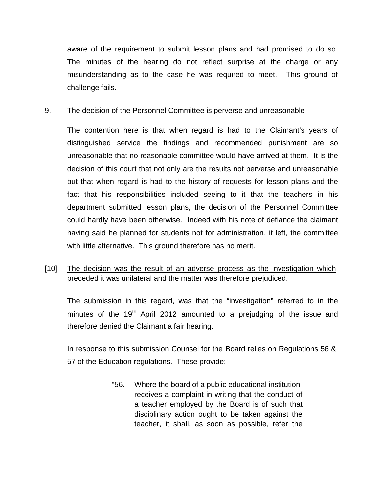aware of the requirement to submit lesson plans and had promised to do so. The minutes of the hearing do not reflect surprise at the charge or any misunderstanding as to the case he was required to meet. This ground of challenge fails.

## 9. The decision of the Personnel Committee is perverse and unreasonable

The contention here is that when regard is had to the Claimant's years of distinguished service the findings and recommended punishment are so unreasonable that no reasonable committee would have arrived at them. It is the decision of this court that not only are the results not perverse and unreasonable but that when regard is had to the history of requests for lesson plans and the fact that his responsibilities included seeing to it that the teachers in his department submitted lesson plans, the decision of the Personnel Committee could hardly have been otherwise. Indeed with his note of defiance the claimant having said he planned for students not for administration, it left, the committee with little alternative. This ground therefore has no merit.

# [10] The decision was the result of an adverse process as the investigation which preceded it was unilateral and the matter was therefore prejudiced.

The submission in this regard, was that the "investigation" referred to in the minutes of the  $19<sup>th</sup>$  April 2012 amounted to a prejudging of the issue and therefore denied the Claimant a fair hearing.

In response to this submission Counsel for the Board relies on Regulations 56 & 57 of the Education regulations. These provide:

> "56. Where the board of a public educational institution receives a complaint in writing that the conduct of a teacher employed by the Board is of such that disciplinary action ought to be taken against the teacher, it shall, as soon as possible, refer the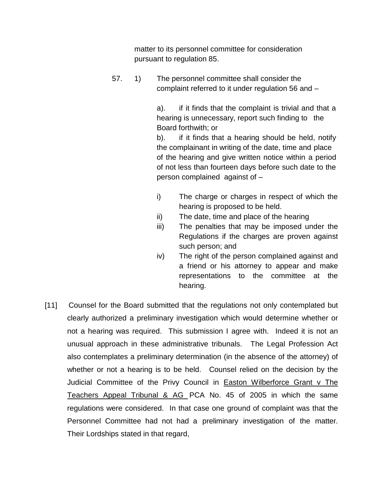matter to its personnel committee for consideration pursuant to regulation 85.

57. 1) The personnel committee shall consider the complaint referred to it under regulation 56 and –

> a). if it finds that the complaint is trivial and that a hearing is unnecessary, report such finding to the Board forthwith; or

> b). if it finds that a hearing should be held, notify the complainant in writing of the date, time and place of the hearing and give written notice within a period of not less than fourteen days before such date to the person complained against of –

- i) The charge or charges in respect of which the hearing is proposed to be held.
- ii) The date, time and place of the hearing
- iii) The penalties that may be imposed under the Regulations if the charges are proven against such person; and
- iv) The right of the person complained against and a friend or his attorney to appear and make representations to the committee at the hearing.
- [11] Counsel for the Board submitted that the regulations not only contemplated but clearly authorized a preliminary investigation which would determine whether or not a hearing was required. This submission I agree with. Indeed it is not an unusual approach in these administrative tribunals. The Legal Profession Act also contemplates a preliminary determination (in the absence of the attorney) of whether or not a hearing is to be held. Counsel relied on the decision by the Judicial Committee of the Privy Council in Easton Wilberforce Grant v The Teachers Appeal Tribunal & AG PCA No. 45 of 2005 in which the same regulations were considered. In that case one ground of complaint was that the Personnel Committee had not had a preliminary investigation of the matter. Their Lordships stated in that regard,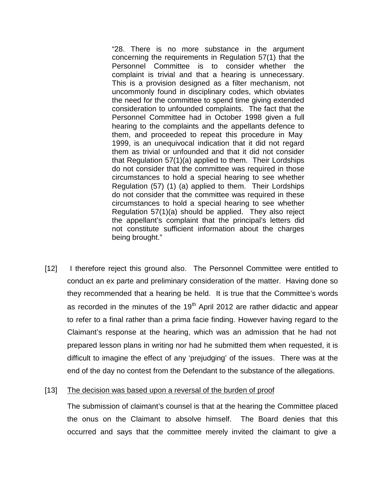"28. There is no more substance in the argument concerning the requirements in Regulation 57(1) that the Personnel Committee is to consider whether the complaint is trivial and that a hearing is unnecessary. This is a provision designed as a filter mechanism, not uncommonly found in disciplinary codes, which obviates the need for the committee to spend time giving extended consideration to unfounded complaints. The fact that the Personnel Committee had in October 1998 given a full hearing to the complaints and the appellants defence to them, and proceeded to repeat this procedure in May 1999, is an unequivocal indication that it did not regard them as trivial or unfounded and that it did not consider that Regulation 57(1)(a) applied to them. Their Lordships do not consider that the committee was required in those circumstances to hold a special hearing to see whether Regulation (57) (1) (a) applied to them. Their Lordships do not consider that the committee was required in these circumstances to hold a special hearing to see whether Regulation 57(1)(a) should be applied. They also reject the appellant's complaint that the principal's letters did not constitute sufficient information about the charges being brought."

[12] I therefore reject this ground also. The Personnel Committee were entitled to conduct an ex parte and preliminary consideration of the matter. Having done so they recommended that a hearing be held. It is true that the Committee's words as recorded in the minutes of the  $19<sup>th</sup>$  April 2012 are rather didactic and appear to refer to a final rather than a prima facie finding. However having regard to the Claimant's response at the hearing, which was an admission that he had not prepared lesson plans in writing nor had he submitted them when requested, it is difficult to imagine the effect of any 'prejudging' of the issues. There was at the end of the day no contest from the Defendant to the substance of the allegations.

#### [13] The decision was based upon a reversal of the burden of proof

The submission of claimant's counsel is that at the hearing the Committee placed the onus on the Claimant to absolve himself. The Board denies that this occurred and says that the committee merely invited the claimant to give a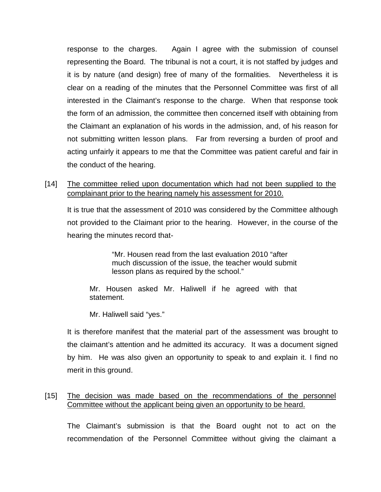response to the charges. Again I agree with the submission of counsel representing the Board. The tribunal is not a court, it is not staffed by judges and it is by nature (and design) free of many of the formalities. Nevertheless it is clear on a reading of the minutes that the Personnel Committee was first of all interested in the Claimant's response to the charge. When that response took the form of an admission, the committee then concerned itself with obtaining from the Claimant an explanation of his words in the admission, and, of his reason for not submitting written lesson plans. Far from reversing a burden of proof and acting unfairly it appears to me that the Committee was patient careful and fair in the conduct of the hearing.

[14] The committee relied upon documentation which had not been supplied to the complainant prior to the hearing namely his assessment for 2010.

It is true that the assessment of 2010 was considered by the Committee although not provided to the Claimant prior to the hearing. However, in the course of the hearing the minutes record that-

> "Mr. Housen read from the last evaluation 2010 "after much discussion of the issue, the teacher would submit lesson plans as required by the school."

Mr. Housen asked Mr. Haliwell if he agreed with that statement.

Mr. Haliwell said "yes."

It is therefore manifest that the material part of the assessment was brought to the claimant's attention and he admitted its accuracy. It was a document signed by him. He was also given an opportunity to speak to and explain it. I find no merit in this ground.

## [15] The decision was made based on the recommendations of the personnel Committee without the applicant being given an opportunity to be heard.

The Claimant's submission is that the Board ought not to act on the recommendation of the Personnel Committee without giving the claimant a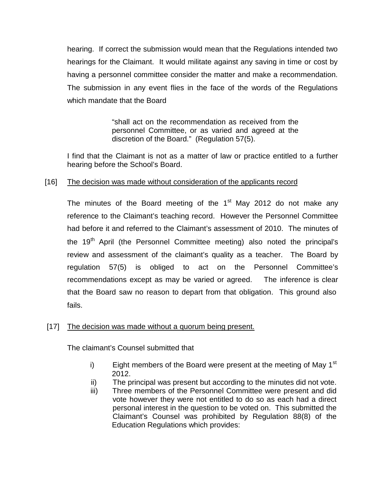hearing. If correct the submission would mean that the Regulations intended two hearings for the Claimant. It would militate against any saving in time or cost by having a personnel committee consider the matter and make a recommendation. The submission in any event flies in the face of the words of the Regulations which mandate that the Board

> "shall act on the recommendation as received from the personnel Committee, or as varied and agreed at the discretion of the Board." (Regulation 57(5).

I find that the Claimant is not as a matter of law or practice entitled to a further hearing before the School's Board.

## [16] The decision was made without consideration of the applicants record

The minutes of the Board meeting of the  $1<sup>st</sup>$  May 2012 do not make any reference to the Claimant's teaching record. However the Personnel Committee had before it and referred to the Claimant's assessment of 2010. The minutes of the 19<sup>th</sup> April (the Personnel Committee meeting) also noted the principal's review and assessment of the claimant's quality as a teacher. The Board by regulation 57(5) is obliged to act on the Personnel Committee's recommendations except as may be varied or agreed. The inference is clear that the Board saw no reason to depart from that obligation. This ground also fails.

## [17] The decision was made without a quorum being present.

The claimant's Counsel submitted that

- i) Eight members of the Board were present at the meeting of May  $1<sup>st</sup>$ 2012.
- ii) The principal was present but according to the minutes did not vote.
- iii) Three members of the Personnel Committee were present and did vote however they were not entitled to do so as each had a direct personal interest in the question to be voted on. This submitted the Claimant's Counsel was prohibited by Regulation 88(8) of the Education Regulations which provides: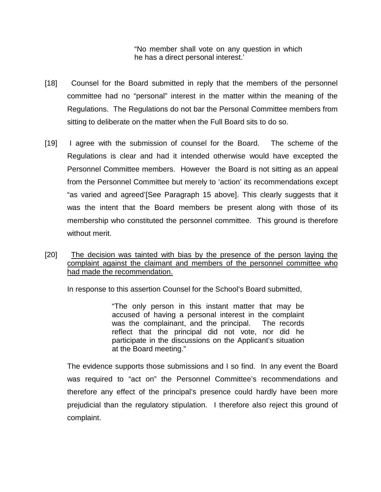"No member shall vote on any question in which he has a direct personal interest.'

- [18] Counsel for the Board submitted in reply that the members of the personnel committee had no "personal" interest in the matter within the meaning of the Regulations. The Regulations do not bar the Personal Committee members from sitting to deliberate on the matter when the Full Board sits to do so.
- [19] I agree with the submission of counsel for the Board. The scheme of the Regulations is clear and had it intended otherwise would have excepted the Personnel Committee members. However the Board is not sitting as an appeal from the Personnel Committee but merely to 'action' its recommendations except "as varied and agreed'[See Paragraph 15 above]. This clearly suggests that it was the intent that the Board members be present along with those of its membership who constituted the personnel committee. This ground is therefore without merit.
- [20] The decision was tainted with bias by the presence of the person laying the complaint against the claimant and members of the personnel committee who had made the recommendation.

In response to this assertion Counsel for the School's Board submitted,

"The only person in this instant matter that may be accused of having a personal interest in the complaint was the complainant, and the principal. The records reflect that the principal did not vote, nor did he participate in the discussions on the Applicant's situation at the Board meeting."

The evidence supports those submissions and I so find. In any event the Board was required to "act on" the Personnel Committee's recommendations and therefore any effect of the principal's presence could hardly have been more prejudicial than the regulatory stipulation. I therefore also reject this ground of complaint.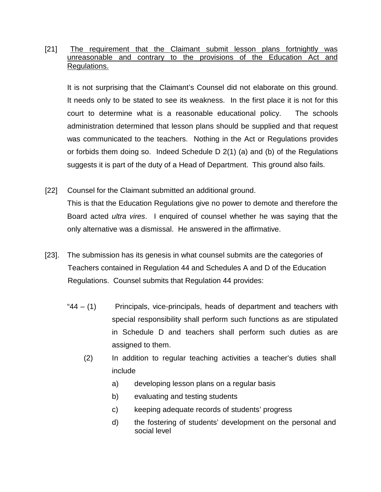## [21] The requirement that the Claimant submit lesson plans fortnightly was unreasonable and contrary to the provisions of the Education Act and Regulations.

It is not surprising that the Claimant's Counsel did not elaborate on this ground. It needs only to be stated to see its weakness. In the first place it is not for this court to determine what is a reasonable educational policy. The schools administration determined that lesson plans should be supplied and that request was communicated to the teachers. Nothing in the Act or Regulations provides or forbids them doing so. Indeed Schedule D 2(1) (a) and (b) of the Regulations suggests it is part of the duty of a Head of Department. This ground also fails.

- [22] Counsel for the Claimant submitted an additional ground. This is that the Education Regulations give no power to demote and therefore the Board acted *ultra vires*. I enquired of counsel whether he was saying that the only alternative was a dismissal. He answered in the affirmative.
- [23]. The submission has its genesis in what counsel submits are the categories of Teachers contained in Regulation 44 and Schedules A and D of the Education Regulations. Counsel submits that Regulation 44 provides:
	- $44 (1)$  Principals, vice-principals, heads of department and teachers with special responsibility shall perform such functions as are stipulated in Schedule D and teachers shall perform such duties as are assigned to them.
		- (2) In addition to regular teaching activities a teacher's duties shall include
			- a) developing lesson plans on a regular basis
			- b) evaluating and testing students
			- c) keeping adequate records of students' progress
			- d) the fostering of students' development on the personal and social level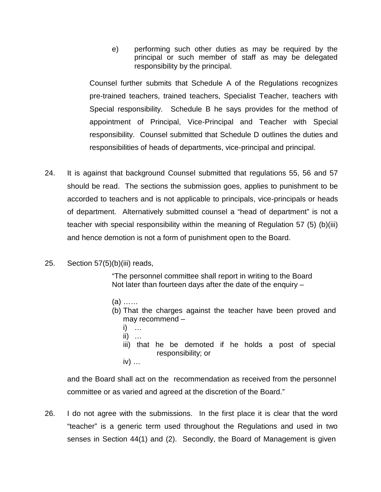e) performing such other duties as may be required by the principal or such member of staff as may be delegated responsibility by the principal.

Counsel further submits that Schedule A of the Regulations recognizes pre-trained teachers, trained teachers, Specialist Teacher, teachers with Special responsibility. Schedule B he says provides for the method of appointment of Principal, Vice-Principal and Teacher with Special responsibility. Counsel submitted that Schedule D outlines the duties and responsibilities of heads of departments, vice-principal and principal.

- 24. It is against that background Counsel submitted that regulations 55, 56 and 57 should be read. The sections the submission goes, applies to punishment to be accorded to teachers and is not applicable to principals, vice-principals or heads of department. Alternatively submitted counsel a "head of department" is not a teacher with special responsibility within the meaning of Regulation 57 (5) (b)(iii) and hence demotion is not a form of punishment open to the Board.
- 25. Section 57(5)(b)(iii) reads,

"The personnel committee shall report in writing to the Board Not later than fourteen days after the date of the enquiry –

- (a) ……
- (b) That the charges against the teacher have been proved and may recommend –
	- i) …
	- $ii)$  …
	- iii) that he be demoted if he holds a post of special responsibility; or
	- iv) …

and the Board shall act on the recommendation as received from the personnel committee or as varied and agreed at the discretion of the Board."

26. I do not agree with the submissions. In the first place it is clear that the word "teacher" is a generic term used throughout the Regulations and used in two senses in Section 44(1) and (2). Secondly, the Board of Management is given